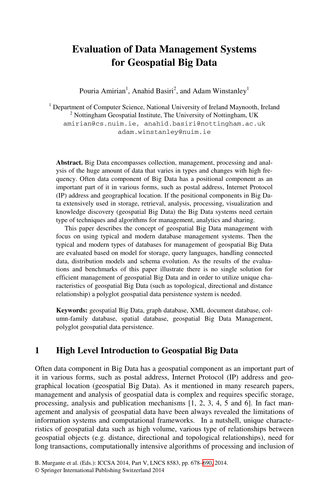# **Evaluation of Data Management Systems for Geospatial Big Data**

Pouria Amirian<sup>1</sup>, Anahid Basiri<sup>2</sup>, and Adam Winstanley<sup>1</sup>

<sup>1</sup> Department of Computer Science, National University of Ireland Maynooth, Ireland  $\frac{2}{3}$  Nottingham Geospatial Institute. The University of Nottingham UK  $2$  Nottingham Geospatial Institute, The University of Nottingham, UK amirian@cs.nuim.ie, anahid.basiri@nottingham.ac.uk adam.winstanley@nuim.ie

**Abstract.** Big Data encompasses collection, management, processing and analysis of the huge amount of data that varies in types and changes with high frequency. Often data component of Big Data has a positional component as an important part of it in various forms, such as postal address, Internet Protocol (IP) address and geographical location. If the positional components in Big Data extensively used in storage, retrieval, analysis, processing, visualization and knowledge discovery (geospatial Big Data) the Big Data systems need certain type of techniques and algorithms for management, analytics and sharing.

This paper describes the concept of geospatial Big Data management with focus on using typical and modern database management systems. Then the typical and modern types of databases for management of geospatial Big Data are evaluated based on model for storage, query languages, handling connected data, distribution models and schema evolution. As the results of the evaluations and benchmarks of this paper illustrate there is no single solution for efficient management of geospatial Big Data and in order to utilize unique characteristics of geospatial Big Data (such as topological, directional and distance relationship) a polyglot geospatial data persistence system is needed.

**Keywords:** geospatial Big Data, graph database, XML document database, column-family database, spatial database, geospatial Big Data Management, polyglot geospatial data persistence.

### **1 High Level Introduction to Geospatial Big Data**

Often data component in Big Data has a geospatial component as an important part of it in various forms, such as postal address, Internet Protocol (IP) address and geographical location (geospatial Big Data). As it mentioned in many research papers, management and analysis of geospa[tial](#page-12-0) data is complex and requires specific storage, processing, analysis and publication mechanisms  $[1, 2, 3, 4, 5, 6]$ . In fact management and analysis of geospatial data have been always revealed the limitations of information systems and computational frameworks. In a nutshell, unique characteristics of geospatial data such as high volume, various type of relationships between geospatial objects (e.g. distance, directional and topological relationships), need for long transactions, computationally intensive algorithms of processing and inclusion of

B. Murgante et al. (Eds.): ICCSA 2014, Part V, LNCS 8583, pp. 678–690, 2014.

<sup>©</sup> Springer International Publishing Switzerland 2014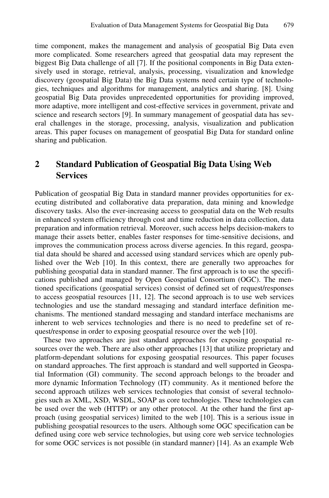time component, makes the management and analysis of geospatial Big Data even more complicated. Some researchers agreed that geospatial data may represent the biggest Big Data challenge of all [7]. If the positional components in Big Data extensively used in storage, retrieval, analysis, processing, visualization and knowledge discovery (geospatial Big Data) the Big Data systems need certain type of technologies, techniques and algorithms for management, analytics and sharing. [8]. Using geospatial Big Data provides unprecedented opportunities for providing improved, more adaptive, more intelligent and cost-effective services in government, private and science and research sectors [9]. In summary management of geospatial data has several challenges in the storage, processing, analysis, visualization and publication areas. This paper focuses on management of geospatial Big Data for standard online sharing and publication.

## **2 Standard Publication of Geospatial Big Data Using Web Services**

Publication of geospatial Big Data in standard manner provides opportunities for executing distributed and collaborative data preparation, data mining and knowledge discovery tasks. Also the ever-increasing access to geospatial data on the Web results in enhanced system efficiency through cost and time reduction in data collection, data preparation and information retrieval. Moreover, such access helps decision-makers to manage their assets better, enables faster responses for time-sensitive decisions, and improves the communication process across diverse agencies. In this regard, geospatial data should be shared and accessed using standard services which are openly published over the Web [10]. In this context, there are generally two approaches for publishing geospatial data in standard manner. The first approach is to use the specifications published and managed by Open Geospatial Consortium (OGC). The mentioned specifications (geospatial services) consist of defined set of request/responses to access geospatial resources [11, 12]. The second approach is to use web services technologies and use the standard messaging and standard interface definition mechanisms. The mentioned standard messaging and standard interface mechanisms are inherent to web services technologies and there is no need to predefine set of request/response in order to exposing geospatial resource over the web [10].

These two approaches are just standard approaches for exposing geospatial resources over the web. There are also other approaches [13] that utilize proprietary and platform-dependant solutions for exposing geospatial resources. This paper focuses on standard approaches. The first approach is standard and well supported in Geospatial Information (GI) community. The second approach belongs to the broader and more dynamic Information Technology (IT) community. As it mentioned before the second approach utilizes web services technologies that consist of several technologies such as XML, XSD, WSDL, SOAP as core technologies. These technologies can be used over the web (HTTP) or any other protocol. At the other hand the first approach (using geospatial services) limited to the web [10]. This is a serious issue in publishing geospatial resources to the users. Although some OGC specification can be defined using core web service technologies, but using core web service technologies for some OGC services is not possible (in standard manner) [14]. As an example Web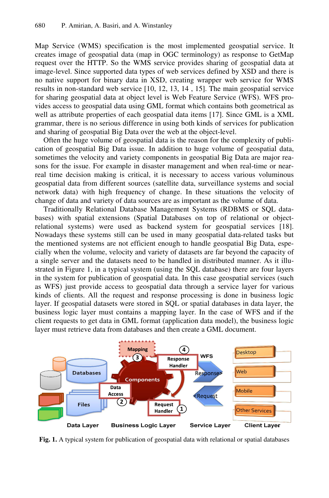Map Service (WMS) specification is the most implemented geospatial service. It creates image of geospatial data (map in OGC terminology) as response to GetMap request over the HTTP. So the WMS service provides sharing of geospatial data at image-level. Since supported data types of web services defined by XSD and there is no native support for binary data in XSD, creating wrapper web service for WMS results in non-standard web service [10, 12, 13, 14 , 15]. The main geospatial service for sharing geospatial data at object level is Web Feature Service (WFS). WFS provides access to geospatial data using GML format which contains both geometrical as well as attribute properties of each geospatial data items [17]. Since GML is a XML grammar, there is no serious difference in using both kinds of services for publication and sharing of geospatial Big Data over the web at the object-level.

Often the huge volume of geospatial data is the reason for the complexity of publication of geospatial Big Data issue. In addition to huge volume of geospatial data, sometimes the velocity and variety components in geospatial Big Data are major reasons for the issue. For example in disaster management and when real-time or nearreal time decision making is critical, it is necessary to access various voluminous geospatial data from different sources (satellite data, surveillance systems and social network data) with high frequency of change. In these situations the velocity of change of data and variety of data sources are as important as the volume of data.

Traditionally Relational Database Management Systems (RDBMS or SQL databases) with spatial extensions (Spatial Databases on top of relational or objectrelational systems) were used as backend system for geospatial services [18]. Nowadays these systems still can be used in many geospatial data-related tasks but the mentioned systems are not efficient enough to handle geospatial Big Data, especially when the volume, velocity and variety of datasets are far beyond the capacity of a single server and the datasets need to be handled in distributed manner. As it illustrated in Figure 1, in a typical system (using the SQL database) there are four layers in the system for publication of geospatial data. In this case geospatial services (such as WFS) just provide access to geospatial data through a service layer for various kinds of clients. All the request and response processing is done in business logic layer. If geospatial datasets were stored in SQL or spatial databases in data layer, the business logic layer must contains a mapping layer. In the case of WFS and if the client requests to get data in GML format (application data model), the business logic layer must retrieve data from databases and then create a GML document.



**Fig. 1.** A typical system for publication of geospatial data with relational or spatial databases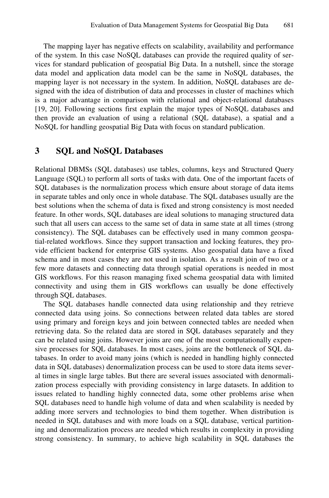The mapping layer has negative effects on scalability, availability and performance of the system. In this case NoSQL databases can provide the required quality of services for standard publication of geospatial Big Data. In a nutshell, since the storage data model and application data model can be the same in NoSQL databases, the mapping layer is not necessary in the system. In addition, NoSQL databases are designed with the idea of distribution of data and processes in cluster of machines which is a major advantage in comparison with relational and object-relational databases [19, 20]. Following sections first explain the major types of NoSQL databases and then provide an evaluation of using a relational (SQL database), a spatial and a NoSQL for handling geospatial Big Data with focus on standard publication.

## **3 SQL and NoSQL Databases**

Relational DBMSs (SQL databases) use tables, columns, keys and Structured Query Language (SQL) to perform all sorts of tasks with data. One of the important facets of SQL databases is the normalization process which ensure about storage of data items in separate tables and only once in whole database. The SQL databases usually are the best solutions when the schema of data is fixed and strong consistency is most needed feature. In other words, SQL databases are ideal solutions to managing structured data such that all users can access to the same set of data in same state at all times (strong consistency). The SQL databases can be effectively used in many common geospatial-related workflows. Since they support transaction and locking features, they provide efficient backend for enterprise GIS systems. Also geospatial data have a fixed schema and in most cases they are not used in isolation. As a result join of two or a few more datasets and connecting data through spatial operations is needed in most GIS workflows. For this reason managing fixed schema geospatial data with limited connectivity and using them in GIS workflows can usually be done effectively through SQL databases.

The SQL databases handle connected data using relationship and they retrieve connected data using joins. So connections between related data tables are stored using primary and foreign keys and join between connected tables are needed when retrieving data. So the related data are stored in SQL databases separately and they can be related using joins. However joins are one of the most computationally expensive processes for SQL databases. In most cases, joins are the bottleneck of SQL databases. In order to avoid many joins (which is needed in handling highly connected data in SQL databases) denormalization process can be used to store data items several times in single large tables. But there are several issues associated with denormalization process especially with providing consistency in large datasets. In addition to issues related to handling highly connected data, some other problems arise when SQL databases need to handle high volume of data and when scalability is needed by adding more servers and technologies to bind them together. When distribution is needed in SQL databases and with more loads on a SQL database, vertical partitioning and denormalization process are needed which results in complexity in providing strong consistency. In summary, to achieve high scalability in SQL databases the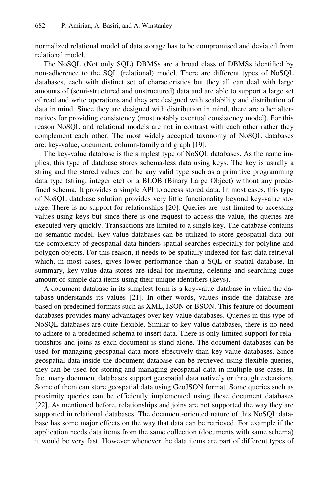normalized relational model of data storage has to be compromised and deviated from relational model.

The NoSQL (Not only SQL) DBMSs are a broad class of DBMSs identified by non-adherence to the SQL (relational) model. There are different types of NoSQL databases, each with distinct set of characteristics but they all can deal with large amounts of (semi-structured and unstructured) data and are able to support a large set of read and write operations and they are designed with scalability and distribution of data in mind. Since they are designed with distribution in mind, there are other alternatives for providing consistency (most notably eventual consistency model). For this reason NoSQL and relational models are not in contrast with each other rather they complement each other. The most widely accepted taxonomy of NoSQL databases are: key-value, document, column-family and graph [19].

The key-value database is the simplest type of NoSQL databases. As the name implies, this type of database stores schema-less data using keys. The key is usually a string and the stored values can be any valid type such as a primitive programming data type (string, integer etc) or a BLOB (Binary Large Object) without any predefined schema. It provides a simple API to access stored data. In most cases, this type of NoSQL database solution provides very little functionality beyond key-value storage. There is no support for relationships [20]. Queries are just limited to accessing values using keys but since there is one request to access the value, the queries are executed very quickly. Transactions are limited to a single key. The database contains no semantic model. Key-value databases can be utilized to store geospatial data but the complexity of geospatial data hinders spatial searches especially for polyline and polygon objects. For this reason, it needs to be spatially indexed for fast data retrieval which, in most cases, gives lower performance than a SQL or spatial database. In summary, key-value data stores are ideal for inserting, deleting and searching huge amount of simple data items using their unique identifiers (keys).

A document database in its simplest form is a key-value database in which the database understands its values [21]. In other words, values inside the database are based on predefined formats such as XML, JSON or BSON. This feature of document databases provides many advantages over key-value databases. Queries in this type of NoSQL databases are quite flexible. Similar to key-value databases, there is no need to adhere to a predefined schema to insert data. There is only limited support for relationships and joins as each document is stand alone. The document databases can be used for managing geospatial data more effectively than key-value databases. Since geospatial data inside the document database can be retrieved using flexible queries, they can be used for storing and managing geospatial data in multiple use cases. In fact many document databases support geospatial data natively or through extensions. Some of them can store geospatial data using GeoJSON format. Some queries such as proximity queries can be efficiently implemented using these document databases [22]. As mentioned before, relationships and joins are not supported the way they are supported in relational databases. The document-oriented nature of this NoSQL database has some major effects on the way that data can be retrieved. For example if the application needs data items from the same collection (documents with same schema) it would be very fast. However whenever the data items are part of different types of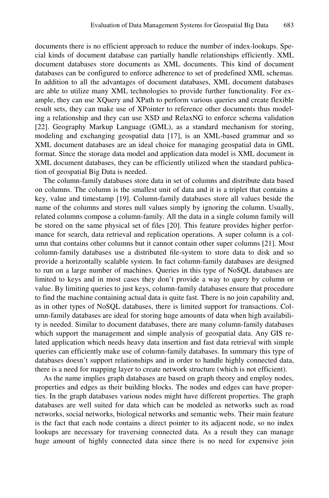documents there is no efficient approach to reduce the number of index-lookups. Special kinds of document database can partially handle relationships efficiently. XML document databases store documents as XML documents. This kind of document databases can be configured to enforce adherence to set of predefined XML schemas. In addition to all the advantages of document databases, XML document databases are able to utilize many XML technologies to provide further functionality. For example, they can use XQuery and XPath to perform various queries and create flexible result sets, they can make use of XPointer to reference other documents thus modeling a relationship and they can use XSD and RelaxNG to enforce schema validation [22]. Geography Markup Language (GML), as a standard mechanism for storing, modeling and exchanging geospatial data [17], is an XML-based grammar and so XML document databases are an ideal choice for managing geospatial data in GML format. Since the storage data model and application data model is XML document in XML document databases, they can be efficiently utilized when the standard publication of geospatial Big Data is needed.

The column-family databases store data in set of columns and distribute data based on columns. The column is the smallest unit of data and it is a triplet that contains a key, value and timestamp [19]. Column-family databases store all values beside the name of the columns and stores null values simply by ignoring the column. Usually, related columns compose a column-family. All the data in a single column family will be stored on the same physical set of files [20]. This feature provides higher performance for search, data retrieval and replication operations. A super column is a column that contains other columns but it cannot contain other super columns [21]. Most column-family databases use a distributed file-system to store data to disk and so provide a horizontally scalable system. In fact column-family databases are designed to run on a large number of machines. Queries in this type of NoSQL databases are limited to keys and in most cases they don't provide a way to query by column or value. By limiting queries to just keys, column-family databases ensure that procedure to find the machine containing actual data is quite fast. There is no join capability and, as in other types of NoSQL databases, there is limited support for transactions. Column-family databases are ideal for storing huge amounts of data when high availability is needed. Similar to document databases, there are many column-family databases which support the management and simple analysis of geospatial data. Any GIS related application which needs heavy data insertion and fast data retrieval with simple queries can efficiently make use of column-family databases. In summary this type of databases doesn't support relationships and in order to handle highly connected data, there is a need for mapping layer to create network structure (which is not efficient).

As the name implies graph databases are based on graph theory and employ nodes, properties and edges as their building blocks. The nodes and edges can have properties. In the graph databases various nodes might have different properties. The graph databases are well suited for data which can be modeled as networks such as road networks, social networks, biological networks and semantic webs. Their main feature is the fact that each node contains a direct pointer to its adjacent node, so no index lookups are necessary for traversing connected data. As a result they can manage huge amount of highly connected data since there is no need for expensive join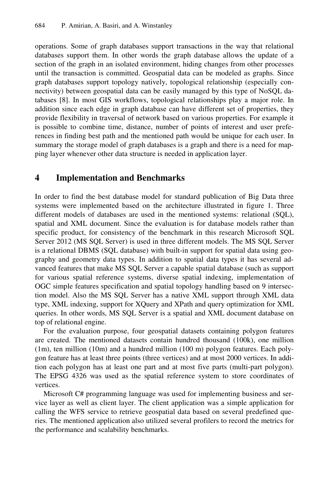operations. Some of graph databases support transactions in the way that relational databases support them. In other words the graph database allows the update of a section of the graph in an isolated environment, hiding changes from other processes until the transaction is committed. Geospatial data can be modeled as graphs. Since graph databases support topology natively, topological relationship (especially connectivity) between geospatial data can be easily managed by this type of NoSQL databases [8]. In most GIS workflows, topological relationships play a major role. In addition since each edge in graph database can have different set of properties, they provide flexibility in traversal of network based on various properties. For example it is possible to combine time, distance, number of points of interest and user preferences in finding best path and the mentioned path would be unique for each user. In summary the storage model of graph databases is a graph and there is a need for mapping layer whenever other data structure is needed in application layer.

## **4 Implementation and Benchmarks**

In order to find the best database model for standard publication of Big Data three systems were implemented based on the architecture illustrated in figure 1. Three different models of databases are used in the mentioned systems: relational (SQL), spatial and XML document. Since the evaluation is for database models rather than specific product, for consistency of the benchmark in this research Microsoft SQL Server 2012 (MS SQL Server) is used in three different models. The MS SQL Server is a relational DBMS (SQL database) with built-in support for spatial data using geography and geometry data types. In addition to spatial data types it has several advanced features that make MS SQL Server a capable spatial database (such as support for various spatial reference systems, diverse spatial indexing, implementation of OGC simple features specification and spatial topology handling based on 9 intersection model. Also the MS SQL Server has a native XML support through XML data type, XML indexing, support for XQuery and XPath and query optimization for XML queries. In other words, MS SQL Server is a spatial and XML document database on top of relational engine.

For the evaluation purpose, four geospatial datasets containing polygon features are created. The mentioned datasets contain hundred thousand (100k), one million (1m), ten million (10m) and a hundred million (100 m) polygon features. Each polygon feature has at least three points (three vertices) and at most 2000 vertices. In addition each polygon has at least one part and at most five parts (multi-part polygon). The EPSG 4326 was used as the spatial reference system to store coordinates of vertices.

Microsoft C# programming language was used for implementing business and service layer as well as client layer. The client application was a simple application for calling the WFS service to retrieve geospatial data based on several predefined queries. The mentioned application also utilized several profilers to record the metrics for the performance and scalability benchmarks.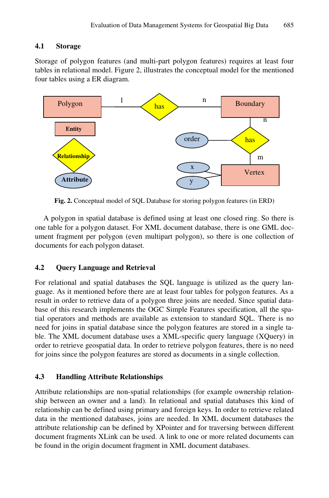#### **4.1 Storage**

Storage of polygon features (and multi-part polygon features) requires at least four tables in relational model. Figure 2, illustrates the conceptual model for the mentioned four tables using a ER diagram.



**Fig. 2.** Conceptual model of SQL Database for storing polygon features (in ERD)

A polygon in spatial database is defined using at least one closed ring. So there is one table for a polygon dataset. For XML document database, there is one GML document fragment per polygon (even multipart polygon), so there is one collection of documents for each polygon dataset.

### **4.2 Query Language and Retrieval**

For relational and spatial databases the SQL language is utilized as the query language. As it mentioned before there are at least four tables for polygon features. As a result in order to retrieve data of a polygon three joins are needed. Since spatial database of this research implements the OGC Simple Features specification, all the spatial operators and methods are available as extension to standard SQL. There is no need for joins in spatial database since the polygon features are stored in a single table. The XML document database uses a XML-specific query language (XQuery) in order to retrieve geospatial data. In order to retrieve polygon features, there is no need for joins since the polygon features are stored as documents in a single collection.

### **4.3 Handling Attribute Relationships**

Attribute relationships are non-spatial relationships (for example ownership relationship between an owner and a land). In relational and spatial databases this kind of relationship can be defined using primary and foreign keys. In order to retrieve related data in the mentioned databases, joins are needed. In XML document databases the attribute relationship can be defined by XPointer and for traversing between different document fragments XLink can be used. A link to one or more related documents can be found in the origin document fragment in XML document databases.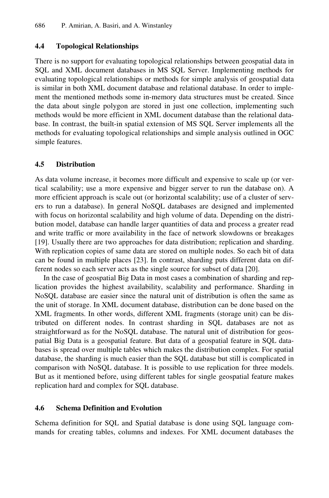#### **4.4 Topological Relationships**

There is no support for evaluating topological relationships between geospatial data in SQL and XML document databases in MS SQL Server. Implementing methods for evaluating topological relationships or methods for simple analysis of geospatial data is similar in both XML document database and relational database. In order to implement the mentioned methods some in-memory data structures must be created. Since the data about single polygon are stored in just one collection, implementing such methods would be more efficient in XML document database than the relational database. In contrast, the built-in spatial extension of MS SQL Server implements all the methods for evaluating topological relationships and simple analysis outlined in OGC simple features.

#### **4.5 Distribution**

As data volume increase, it becomes more difficult and expensive to scale up (or vertical scalability; use a more expensive and bigger server to run the database on). A more efficient approach is scale out (or horizontal scalability; use of a cluster of servers to run a database). In general NoSQL databases are designed and implemented with focus on horizontal scalability and high volume of data. Depending on the distribution model, database can handle larger quantities of data and process a greater read and write traffic or more availability in the face of network slowdowns or breakages [19]. Usually there are two approaches for data distribution; replication and sharding. With replication copies of same data are stored on multiple nodes. So each bit of data can be found in multiple places [23]. In contrast, sharding puts different data on different nodes so each server acts as the single source for subset of data [20].

In the case of geospatial Big Data in most cases a combination of sharding and replication provides the highest availability, scalability and performance. Sharding in NoSQL database are easier since the natural unit of distribution is often the same as the unit of storage. In XML document database, distribution can be done based on the XML fragments. In other words, different XML fragments (storage unit) can be distributed on different nodes. In contrast sharding in SQL databases are not as straightforward as for the NoSQL database. The natural unit of distribution for geospatial Big Data is a geospatial feature. But data of a geospatial feature in SQL databases is spread over multiple tables which makes the distribution complex. For spatial database, the sharding is much easier than the SQL database but still is complicated in comparison with NoSQL database. It is possible to use replication for three models. But as it mentioned before, using different tables for single geospatial feature makes replication hard and complex for SQL database.

#### **4.6 Schema Definition and Evolution**

Schema definition for SQL and Spatial database is done using SQL language commands for creating tables, columns and indexes. For XML document databases the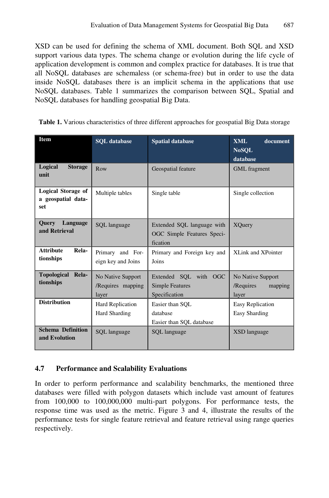XSD can be used for defining the schema of XML document. Both SQL and XSD support various data types. The schema change or evolution during the life cycle of application development is common and complex practice for databases. It is true that all NoSQL databases are schemaless (or schema-free) but in order to use the data inside NoSQL databases there is an implicit schema in the applications that use NoSQL databases. Table 1 summarizes the comparison between SQL, Spatial and NoSQL databases for handling geospatial Big Data.

| Item                                                   | <b>SQL</b> database                             | <b>Spatial database</b>                                              | XML<br>document<br><b>NoSQL</b><br>database        |
|--------------------------------------------------------|-------------------------------------------------|----------------------------------------------------------------------|----------------------------------------------------|
| Logical<br><b>Storage</b><br>unit                      | Row                                             | Geospatial feature                                                   | <b>GML</b> fragment                                |
| <b>Logical Storage of</b><br>a geospatial data-<br>set | Multiple tables                                 | Single table                                                         | Single collection                                  |
| <b>Ouery</b><br>Language<br>and Retrieval              | SQL language                                    | Extended SQL language with<br>OGC Simple Features Speci-<br>fication | <b>XOuery</b>                                      |
| <b>Attribute</b><br>Rela-<br>tionships                 | Primary and For-<br>eign key and Joins          | Primary and Foreign key and<br>Joins                                 | <b>XLink and XPointer</b>                          |
| <b>Topological</b><br>Rela-<br>tionships               | No Native Support<br>/Requires mapping<br>layer | Extended SOL with OGC<br><b>Simple Features</b><br>Specification     | No Native Support<br>/Requires<br>mapping<br>layer |
| <b>Distribution</b>                                    | Hard Replication<br>Hard Sharding               | Easier than SQL<br>database<br>Easier than SQL database              | Easy Replication<br><b>Easy Sharding</b>           |
| <b>Schema Definition</b><br>and Evolution              | <b>SQL</b> language                             | <b>SQL</b> language                                                  | <b>XSD</b> language                                |

| Table 1. Various characteristics of three different approaches for geospatial Big Data storage |  |
|------------------------------------------------------------------------------------------------|--|
|------------------------------------------------------------------------------------------------|--|

### **4.7 Performance and Scalability Evaluations**

In order to perform performance and scalability benchmarks, the mentioned three databases were filled with polygon datasets which include vast amount of features from 100,000 to 100,000,000 multi-part polygons. For performance tests, the response time was used as the metric. Figure 3 and 4, illustrate the results of the performance tests for single feature retrieval and feature retrieval using range queries respectively.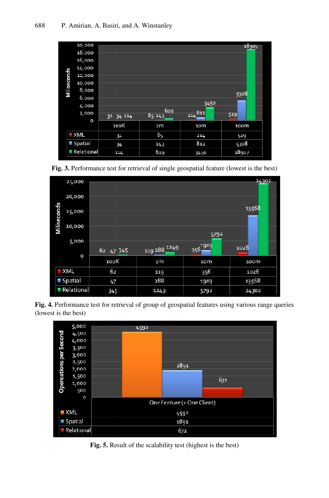

**Fig. 3.** Performance test for retrieval of single geospatial feature (lowest is the best)



Fig. 4. Performance test for retrieval of group of geospatial features using various range queries (lowest is the best)



Fig. 5. Result of the scalability test (highest is the best)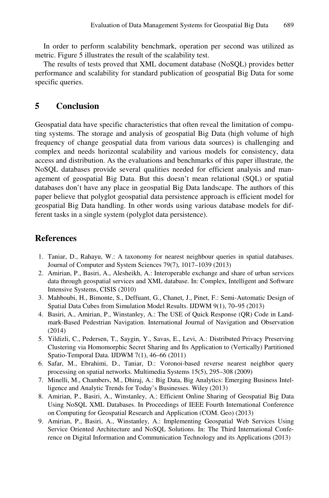In order to perform scalability benchmark, operation per second was utilized as metric. Figure 5 illustrates the result of the scalability test.

The results of tests proved that XML document database (NoSQL) provides better performance and scalability for standard publication of geospatial Big Data for some specific queries.

### **5 Conclusion**

Geospatial data have specific characteristics that often reveal the limitation of computing systems. The storage and analysis of geospatial Big Data (high volume of high frequency of change geospatial data from various data sources) is challenging and complex and needs horizontal scalability and various models for consistency, data access and distribution. As the evaluations and benchmarks of this paper illustrate, the NoSQL databases provide several qualities needed for efficient analysis and management of geospatial Big Data. But this doesn't mean relational (SQL) or spatial databases don't have any place in geospatial Big Data landscape. The authors of this paper believe that polyglot geospatial data persistence approach is efficient model for geospatial Big Data handling. In other words using various database models for different tasks in a single system (polyglot data persistence).

## **References**

- 1. Taniar, D., Rahayu, W.: A taxonomy for nearest neighbour queries in spatial databases. Journal of Computer and System Sciences 79(7), 1017–1039 (2013)
- 2. Amirian, P., Basiri, A., Alesheikh, A.: Interoperable exchange and share of urban services data through geospatial services and XML database. In: Complex, Intelligent and Software Intensive Systems, CISIS (2010)
- 3. Mahboubi, H., Bimonte, S., Deffuant, G., Chanet, J., Pinet, F.: Semi-Automatic Design of Spatial Data Cubes from Simulation Model Results. IJDWM 9(1), 70–95 (2013)
- 4. Basiri, A., Amirian, P., Winstanley, A.: The USE of Quick Response (QR) Code in Landmark-Based Pedestrian Navigation. International Journal of Navigation and Observation (2014)
- 5. Yildizli, C., Pedersen, T., Saygin, Y., Savas, E., Levi, A.: Distributed Privacy Preserving Clustering via Homomorphic Secret Sharing and Its Application to (Vertically) Partitioned Spatio-Temporal Data. IJDWM 7(1), 46–66 (2011)
- 6. Safar, M., Ebrahimi, D., Taniar, D.: Voronoi-based reverse nearest neighbor query processing on spatial networks. Multimedia Systems 15(5), 295–308 (2009)
- 7. Minelli, M., Chambers, M., Dhiraj, A.: Big Data, Big Analytics: Emerging Business Intelligence and Analytic Trends for Today's Businesses. Wiley (2013)
- 8. Amirian, P., Basiri, A., Winstanley, A.: Efficient Online Sharing of Geospatial Big Data Using NoSQL XML Databases. In Proceedings of IEEE Fourth International Conference on Computing for Geospatial Research and Application (COM. Geo) (2013)
- 9. Amirian, P., Basiri, A., Winstanley, A.: Implementing Geospatial Web Services Using Service Oriented Architecture and NoSQL Solutions. In: The Third International Conference on Digital Information and Communication Technology and its Applications (2013)